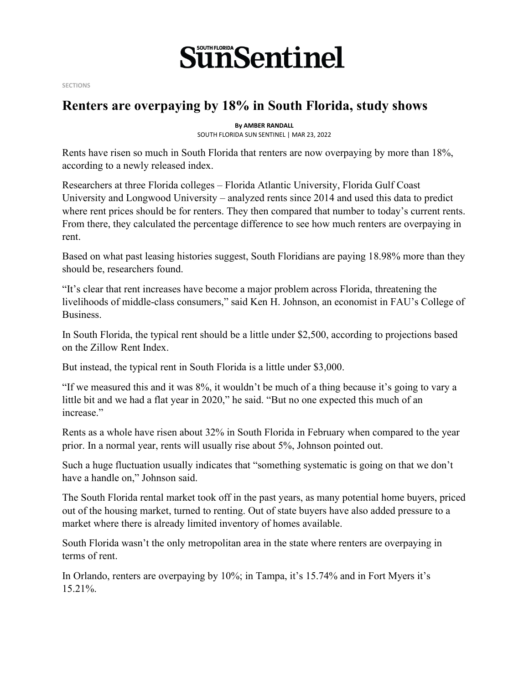

**SECTIONS**

## **Renters are overpaying by 18% in South Florida, study shows**

**By AMBER RANDALL** SOUTH FLORIDA SUN SENTINEL | MAR 23, 2022

Rents have risen so much in South Florida that renters are now overpaying by more than 18%, according to a newly released index.

Researchers at three Florida colleges – Florida Atlantic University, Florida Gulf Coast University and Longwood University – analyzed rents since 2014 and used this data to predict where rent prices should be for renters. They then compared that number to today's current rents. From there, they calculated the percentage difference to see how much renters are overpaying in rent.

Based on what past leasing histories suggest, South Floridians are paying 18.98% more than they should be, researchers found.

"It's clear that rent increases have become a major problem across Florida, threatening the livelihoods of middle-class consumers," said Ken H. Johnson, an economist in FAU's College of Business.

In South Florida, the typical rent should be a little under \$2,500, according to projections based on the Zillow Rent Index.

But instead, the typical rent in South Florida is a little under \$3,000.

"If we measured this and it was 8%, it wouldn't be much of a thing because it's going to vary a little bit and we had a flat year in 2020," he said. "But no one expected this much of an increase."

Rents as a whole have risen about 32% in South Florida in February when compared to the year prior. In a normal year, rents will usually rise about 5%, Johnson pointed out.

Such a huge fluctuation usually indicates that "something systematic is going on that we don't have a handle on," Johnson said.

The South Florida rental market took off in the past years, as many potential home buyers, priced out of the housing market, turned to renting. Out of state buyers have also added pressure to a market where there is already limited inventory of homes available.

South Florida wasn't the only metropolitan area in the state where renters are overpaying in terms of rent.

In Orlando, renters are overpaying by 10%; in Tampa, it's 15.74% and in Fort Myers it's 15.21%.